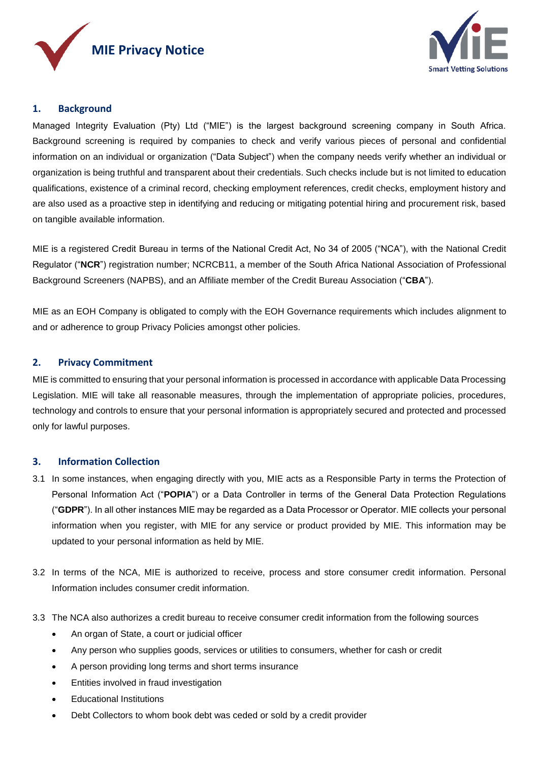



# **1. Background**

Managed Integrity Evaluation (Pty) Ltd ("MIE") is the largest background screening company in South Africa. Background screening is required by companies to check and verify various pieces of personal and confidential information on an individual or organization ("Data Subject") when the company needs verify whether an individual or organization is being truthful and transparent about their credentials. Such checks include but is not limited to education qualifications, existence of a criminal record, checking employment references, credit checks, employment history and are also used as a proactive step in identifying and reducing or mitigating potential hiring and procurement risk, based on tangible available information.

MIE is a registered Credit Bureau in terms of the National Credit Act, No 34 of 2005 ("NCA"), with the National Credit Regulator ("**NCR**") registration number; NCRCB11, a member of the South Africa National Association of Professional Background Screeners (NAPBS), and an Affiliate member of the Credit Bureau Association ("**CBA**").

MIE as an EOH Company is obligated to comply with the EOH Governance requirements which includes alignment to and or adherence to group Privacy Policies amongst other policies.

## **2. Privacy Commitment**

MIE is committed to ensuring that your personal information is processed in accordance with applicable Data Processing Legislation. MIE will take all reasonable measures, through the implementation of appropriate policies, procedures, technology and controls to ensure that your personal information is appropriately secured and protected and processed only for lawful purposes.

## **3. Information Collection**

- 3.1 In some instances, when engaging directly with you, MIE acts as a Responsible Party in terms the Protection of Personal Information Act ("**POPIA**") or a Data Controller in terms of the General Data Protection Regulations ("**GDPR**"). In all other instances MIE may be regarded as a Data Processor or Operator. MIE collects your personal information when you register, with MIE for any service or product provided by MIE. This information may be updated to your personal information as held by MIE.
- 3.2 In terms of the NCA, MIE is authorized to receive, process and store consumer credit information. Personal Information includes consumer credit information.
- 3.3 The NCA also authorizes a credit bureau to receive consumer credit information from the following sources
	- An organ of State, a court or judicial officer
	- Any person who supplies goods, services or utilities to consumers, whether for cash or credit
	- A person providing long terms and short terms insurance
	- **•** Entities involved in fraud investigation
	- Educational Institutions
	- Debt Collectors to whom book debt was ceded or sold by a credit provider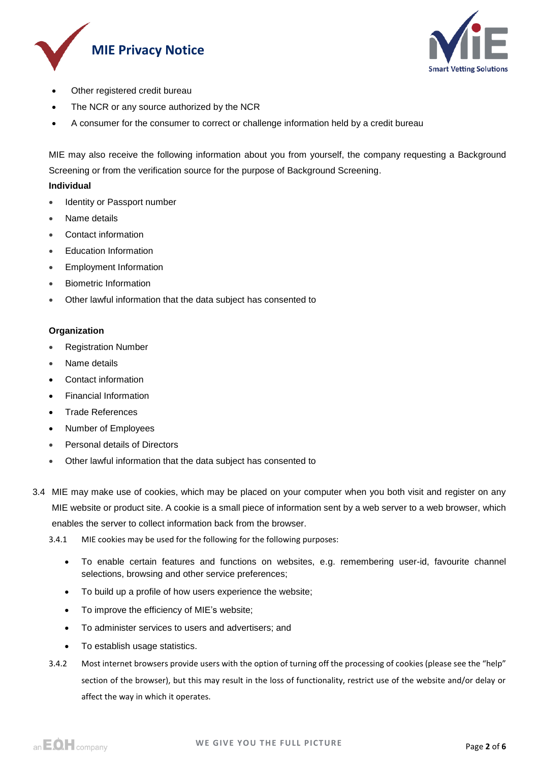



- Other registered credit bureau
- The NCR or any source authorized by the NCR
- A consumer for the consumer to correct or challenge information held by a credit bureau

MIE may also receive the following information about you from yourself, the company requesting a Background Screening or from the verification source for the purpose of Background Screening.

## **Individual**

- Identity or Passport number
- Name details
- Contact information
- Education Information
- Employment Information
- Biometric Information
- Other lawful information that the data subject has consented to

## **Organization**

- Registration Number
- Name details
- Contact information
- Financial Information
- Trade References
- Number of Employees
- Personal details of Directors
- Other lawful information that the data subject has consented to
- 3.4 MIE may make use of cookies, which may be placed on your computer when you both visit and register on any MIE website or product site. A cookie is a small piece of information sent by a web server to a web browser, which enables the server to collect information back from the browser.
	- 3.4.1 MIE cookies may be used for the following for the following purposes:
		- To enable certain features and functions on websites, e.g. remembering user-id, favourite channel selections, browsing and other service preferences;
		- To build up a profile of how users experience the website;
		- To improve the efficiency of MIE's website;
		- To administer services to users and advertisers; and
		- To establish usage statistics.
	- 3.4.2 Most internet browsers provide users with the option of turning off the processing of cookies (please see the "help" section of the browser), but this may result in the loss of functionality, restrict use of the website and/or delay or affect the way in which it operates.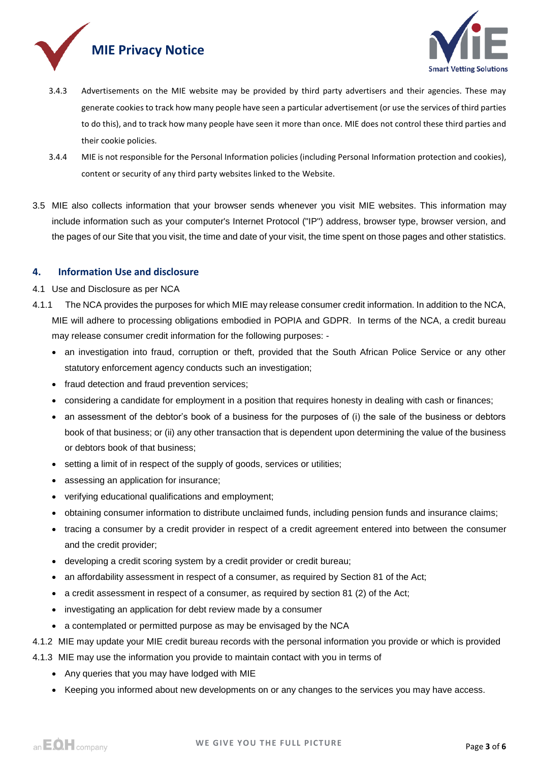



- 3.4.3 Advertisements on the MIE website may be provided by third party advertisers and their agencies. These may generate cookies to track how many people have seen a particular advertisement (or use the services of third parties to do this), and to track how many people have seen it more than once. MIE does not control these third parties and their cookie policies.
- 3.4.4 MIE is not responsible for the Personal Information policies (including Personal Information protection and cookies), content or security of any third party websites linked to the Website.
- 3.5 MIE also collects information that your browser sends whenever you visit MIE websites. This information may include information such as your computer's Internet Protocol ("IP") address, browser type, browser version, and the pages of our Site that you visit, the time and date of your visit, the time spent on those pages and other statistics.

## **4. Information Use and disclosure**

- 4.1 Use and Disclosure as per NCA
- 4.1.1 The NCA provides the purposes for which MIE may release consumer credit information. In addition to the NCA, MIE will adhere to processing obligations embodied in POPIA and GDPR. In terms of the NCA, a credit bureau may release consumer credit information for the following purposes:
	- an investigation into fraud, corruption or theft, provided that the South African Police Service or any other statutory enforcement agency conducts such an investigation;
	- fraud detection and fraud prevention services;
	- considering a candidate for employment in a position that requires honesty in dealing with cash or finances;
	- an assessment of the debtor's book of a business for the purposes of (i) the sale of the business or debtors book of that business; or (ii) any other transaction that is dependent upon determining the value of the business or debtors book of that business;
	- setting a limit of in respect of the supply of goods, services or utilities;
	- assessing an application for insurance;
	- verifying educational qualifications and employment;
	- obtaining consumer information to distribute unclaimed funds, including pension funds and insurance claims;
	- tracing a consumer by a credit provider in respect of a credit agreement entered into between the consumer and the credit provider;
	- developing a credit scoring system by a credit provider or credit bureau;
	- an affordability assessment in respect of a consumer, as required by Section 81 of the Act;
	- a credit assessment in respect of a consumer, as required by section 81 (2) of the Act;
	- investigating an application for debt review made by a consumer
	- a contemplated or permitted purpose as may be envisaged by the NCA
- 4.1.2 MIE may update your MIE credit bureau records with the personal information you provide or which is provided
- 4.1.3 MIE may use the information you provide to maintain contact with you in terms of
	- Any queries that you may have lodged with MIE
	- Keeping you informed about new developments on or any changes to the services you may have access.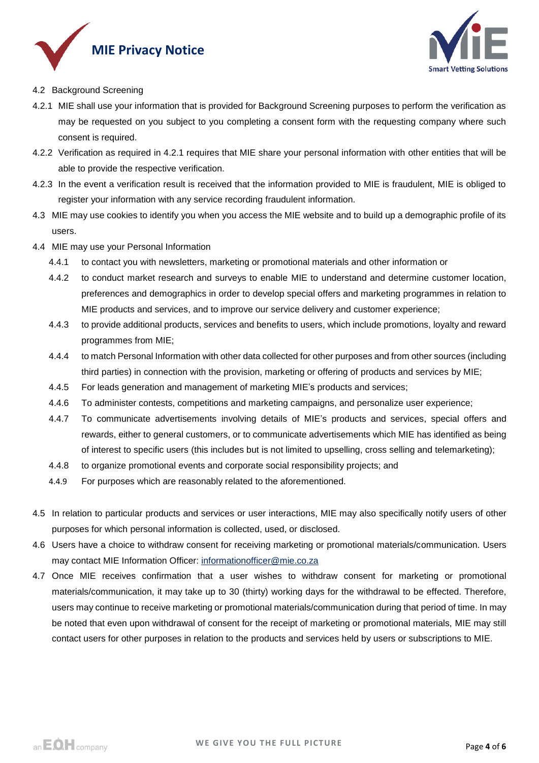



- 4.2 Background Screening
- 4.2.1 MIE shall use your information that is provided for Background Screening purposes to perform the verification as may be requested on you subject to you completing a consent form with the requesting company where such consent is required.
- 4.2.2 Verification as required in 4.2.1 requires that MIE share your personal information with other entities that will be able to provide the respective verification.
- 4.2.3 In the event a verification result is received that the information provided to MIE is fraudulent, MIE is obliged to register your information with any service recording fraudulent information.
- 4.3 MIE may use cookies to identify you when you access the MIE website and to build up a demographic profile of its users.
- 4.4 MIE may use your Personal Information
	- 4.4.1 to contact you with newsletters, marketing or promotional materials and other information or
	- 4.4.2 to conduct market research and surveys to enable MIE to understand and determine customer location, preferences and demographics in order to develop special offers and marketing programmes in relation to MIE products and services, and to improve our service delivery and customer experience;
	- 4.4.3 to provide additional products, services and benefits to users, which include promotions, loyalty and reward programmes from MIE;
	- 4.4.4 to match Personal Information with other data collected for other purposes and from other sources (including third parties) in connection with the provision, marketing or offering of products and services by MIE;
	- 4.4.5 For leads generation and management of marketing MIE's products and services;
	- 4.4.6 To administer contests, competitions and marketing campaigns, and personalize user experience;
	- 4.4.7 To communicate advertisements involving details of MIE's products and services, special offers and rewards, either to general customers, or to communicate advertisements which MIE has identified as being of interest to specific users (this includes but is not limited to upselling, cross selling and telemarketing);
	- 4.4.8 to organize promotional events and corporate social responsibility projects; and
	- 4.4.9 For purposes which are reasonably related to the aforementioned.
- 4.5 In relation to particular products and services or user interactions, MIE may also specifically notify users of other purposes for which personal information is collected, used, or disclosed.
- 4.6 Users have a choice to withdraw consent for receiving marketing or promotional materials/communication. Users may contact MIE Information Officer: [informationofficer@mie.co.za](mailto:informationofficer@mie.co.za)
- 4.7 Once MIE receives confirmation that a user wishes to withdraw consent for marketing or promotional materials/communication, it may take up to 30 (thirty) working days for the withdrawal to be effected. Therefore, users may continue to receive marketing or promotional materials/communication during that period of time. In may be noted that even upon withdrawal of consent for the receipt of marketing or promotional materials, MIE may still contact users for other purposes in relation to the products and services held by users or subscriptions to MIE.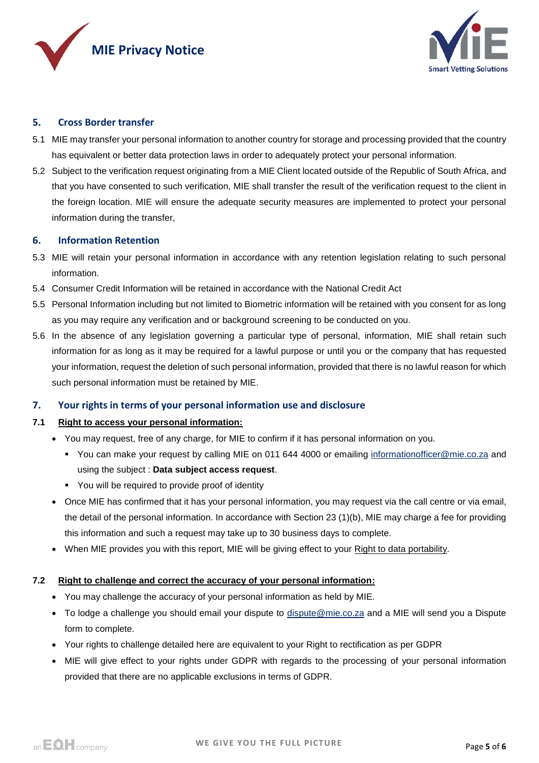



## **5. Cross Border transfer**

- 5.1 MIE may transfer your personal information to another country for storage and processing provided that the country has equivalent or better data protection laws in order to adequately protect your personal information.
- 5.2 Subject to the verification request originating from a MIE Client located outside of the Republic of South Africa, and that you have consented to such verification, MIE shall transfer the result of the verification request to the client in the foreign location. MIE will ensure the adequate security measures are implemented to protect your personal information during the transfer,

## **6. Information Retention**

- 5.3 MIE will retain your personal information in accordance with any retention legislation relating to such personal information.
- 5.4 Consumer Credit Information will be retained in accordance with the National Credit Act
- 5.5 Personal Information including but not limited to Biometric information will be retained with you consent for as long as you may require any verification and or background screening to be conducted on you.
- 5.6 In the absence of any legislation governing a particular type of personal, information, MIE shall retain such information for as long as it may be required for a lawful purpose or until you or the company that has requested your information, request the deletion of such personal information, provided that there is no lawful reason for which such personal information must be retained by MIE.

## **7. Your rights in terms of your personal information use and disclosure**

#### **7.1 Right to access your personal information:**

- You may request, free of any charge, for MIE to confirm if it has personal information on you.
	- You can make your request by calling MIE on 011 644 4000 or emailing [informationofficer@mie.co.za](mailto:informationofficer@mie.co.za) and using the subject : **Data subject access request**.
	- You will be required to provide proof of identity
- Once MIE has confirmed that it has your personal information, you may request via the call centre or via email, the detail of the personal information. In accordance with Section 23 (1)(b), MIE may charge a fee for providing this information and such a request may take up to 30 business days to complete.
- When MIE provides you with this report, MIE will be giving effect to your Right to data portability.

#### **7.2 Right to challenge and correct the accuracy of your personal information:**

- You may challenge the accuracy of your personal information as held by MIE.
- To lodge a challenge you should email your dispute to [dispute@mie.co.za](mailto:dispute@mie.co.za) and a MIE will send you a Dispute form to complete.
- Your rights to challenge detailed here are equivalent to your Right to rectification as per GDPR
- MIE will give effect to your rights under GDPR with regards to the processing of your personal information provided that there are no applicable exclusions in terms of GDPR.